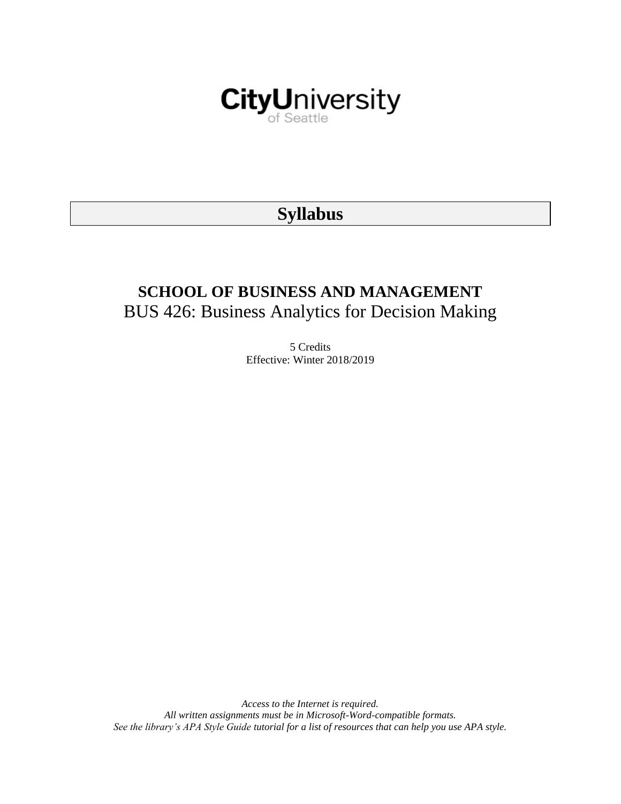

# **Syllabus**

# **SCHOOL OF BUSINESS AND MANAGEMENT** BUS 426: Business Analytics for Decision Making

5 Credits Effective: Winter 2018/2019

*Access to the Internet is required. All written assignments must be in Microsoft-Word-compatible formats. See the library's APA Style Guide tutorial for a list of resources that can help you use APA style.*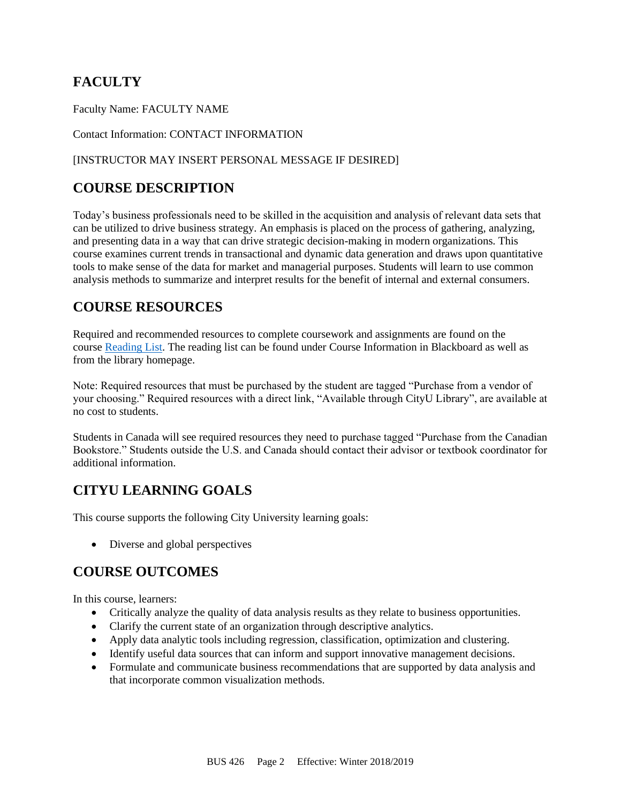# **FACULTY**

Faculty Name: FACULTY NAME

Contact Information: CONTACT INFORMATION

## [INSTRUCTOR MAY INSERT PERSONAL MESSAGE IF DESIRED]

# **COURSE DESCRIPTION**

Today's business professionals need to be skilled in the acquisition and analysis of relevant data sets that can be utilized to drive business strategy. An emphasis is placed on the process of gathering, analyzing, and presenting data in a way that can drive strategic decision-making in modern organizations. This course examines current trends in transactional and dynamic data generation and draws upon quantitative tools to make sense of the data for market and managerial purposes. Students will learn to use common analysis methods to summarize and interpret results for the benefit of internal and external consumers.

# **COURSE RESOURCES**

Required and recommended resources to complete coursework and assignments are found on the course [Reading List.](https://nam03.safelinks.protection.outlook.com/?url=https%3A%2F%2Fcityu.alma.exlibrisgroup.com%2Fleganto%2Flogin%3Fauth%3DSAML&data=04%7C01%7CMMara%40cityu.edu%7C70673ce0fe0144040eda08d87472e204%7Cb3fa96d9f5154662add763d854e39e63%7C1%7C0%7C637387384066198115%7CUnknown%7CTWFpbGZsb3d8eyJWIjoiMC4wLjAwMDAiLCJQIjoiV2luMzIiLCJBTiI6Ik1haWwiLCJXVCI6Mn0%3D%7C1000&sdata=JbwP%2Fm5Q%2BMgIUWa%2FXceos%2BoiLv0DX%2B%2FL%2BNGNMbX9P8E%3D&reserved=0) The reading list can be found under Course Information in Blackboard as well as from the library homepage.

Note: Required resources that must be purchased by the student are tagged "Purchase from a vendor of your choosing." Required resources with a direct link, "Available through CityU Library", are available at no cost to students.

Students in Canada will see required resources they need to purchase tagged "Purchase from the Canadian Bookstore." Students outside the U.S. and Canada should contact their advisor or textbook coordinator for additional information.

# **CITYU LEARNING GOALS**

This course supports the following City University learning goals:

• Diverse and global perspectives

# **COURSE OUTCOMES**

In this course, learners:

- Critically analyze the quality of data analysis results as they relate to business opportunities.
- Clarify the current state of an organization through descriptive analytics.
- Apply data analytic tools including regression, classification, optimization and clustering.
- Identify useful data sources that can inform and support innovative management decisions.
- Formulate and communicate business recommendations that are supported by data analysis and that incorporate common visualization methods.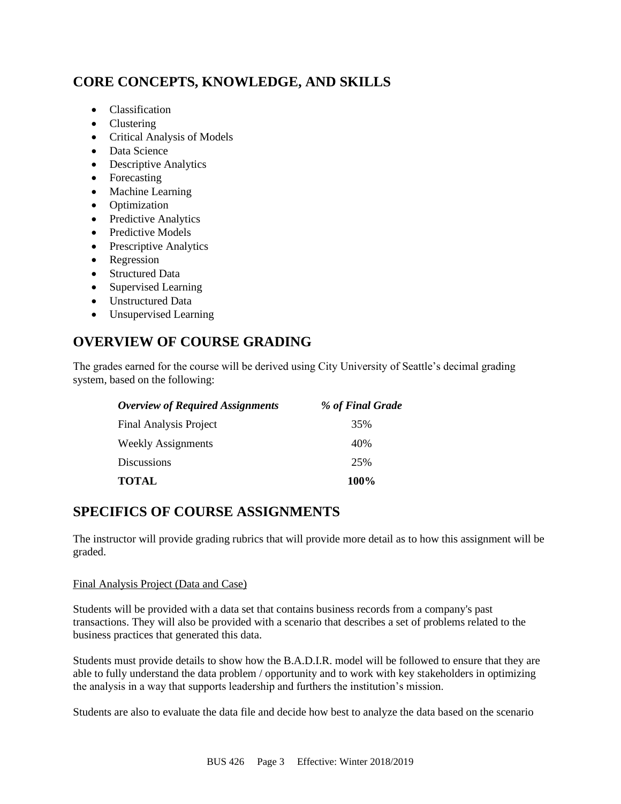# **CORE CONCEPTS, KNOWLEDGE, AND SKILLS**

- Classification
- Clustering
- Critical Analysis of Models
- Data Science
- Descriptive Analytics
- Forecasting
- Machine Learning
- Optimization
- Predictive Analytics
- Predictive Models
- Prescriptive Analytics
- Regression
- Structured Data
- Supervised Learning
- Unstructured Data
- Unsupervised Learning

# **OVERVIEW OF COURSE GRADING**

The grades earned for the course will be derived using City University of Seattle's decimal grading system, based on the following:

| <b>Overview of Required Assignments</b> | % of Final Grade |
|-----------------------------------------|------------------|
| <b>Final Analysis Project</b>           | 35%              |
| Weekly Assignments                      | 40%              |
| Discussions                             | 25%              |
| <b>TOTAL</b>                            | 100%             |

# **SPECIFICS OF COURSE ASSIGNMENTS**

The instructor will provide grading rubrics that will provide more detail as to how this assignment will be graded.

### Final Analysis Project (Data and Case)

Students will be provided with a data set that contains business records from a company's past transactions. They will also be provided with a scenario that describes a set of problems related to the business practices that generated this data.

Students must provide details to show how the B.A.D.I.R. model will be followed to ensure that they are able to fully understand the data problem / opportunity and to work with key stakeholders in optimizing the analysis in a way that supports leadership and furthers the institution's mission.

Students are also to evaluate the data file and decide how best to analyze the data based on the scenario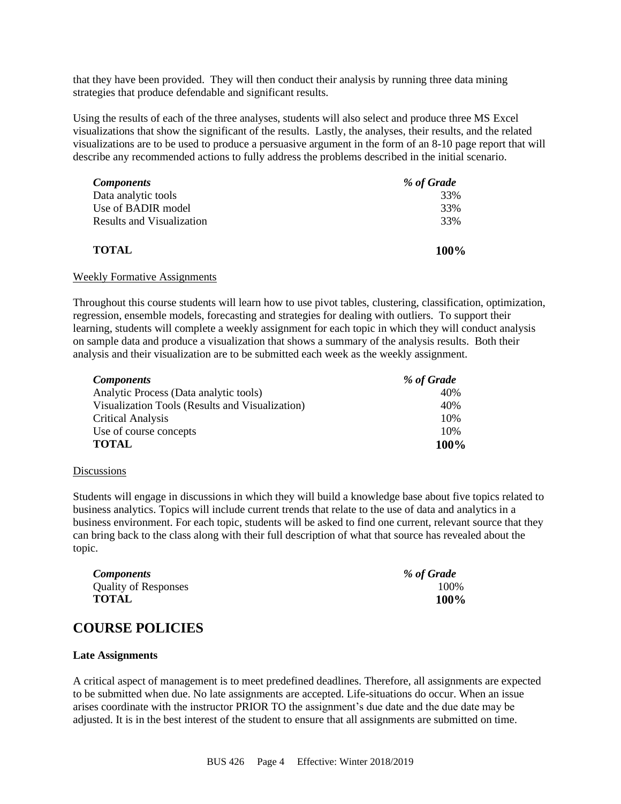that they have been provided. They will then conduct their analysis by running three data mining strategies that produce defendable and significant results.

Using the results of each of the three analyses, students will also select and produce three MS Excel visualizations that show the significant of the results. Lastly, the analyses, their results, and the related visualizations are to be used to produce a persuasive argument in the form of an 8-10 page report that will describe any recommended actions to fully address the problems described in the initial scenario.

| <b>Components</b>         | % of Grade |
|---------------------------|------------|
| Data analytic tools       | 33%        |
| Use of BADIR model        | 33%        |
| Results and Visualization | 33%        |
| <b>TOTAL</b>              | 100%       |

#### Weekly Formative Assignments

Throughout this course students will learn how to use pivot tables, clustering, classification, optimization, regression, ensemble models, forecasting and strategies for dealing with outliers. To support their learning, students will complete a weekly assignment for each topic in which they will conduct analysis on sample data and produce a visualization that shows a summary of the analysis results. Both their analysis and their visualization are to be submitted each week as the weekly assignment.

| <b>Components</b>                               | % of Grade |
|-------------------------------------------------|------------|
| Analytic Process (Data analytic tools)          | 40%        |
| Visualization Tools (Results and Visualization) | 40%        |
| <b>Critical Analysis</b>                        | 10%        |
| Use of course concepts                          | 10%        |
| <b>TOTAL</b>                                    | 100%       |

#### **Discussions**

Students will engage in discussions in which they will build a knowledge base about five topics related to business analytics. Topics will include current trends that relate to the use of data and analytics in a business environment. For each topic, students will be asked to find one current, relevant source that they can bring back to the class along with their full description of what that source has revealed about the topic.

| <b>Components</b>           | % of Grade |
|-----------------------------|------------|
| <b>Quality of Responses</b> | 100\%      |
| <b>TOTAL</b>                | 100%       |

# **COURSE POLICIES**

#### **Late Assignments**

A critical aspect of management is to meet predefined deadlines. Therefore, all assignments are expected to be submitted when due. No late assignments are accepted. Life-situations do occur. When an issue arises coordinate with the instructor PRIOR TO the assignment's due date and the due date may be adjusted. It is in the best interest of the student to ensure that all assignments are submitted on time.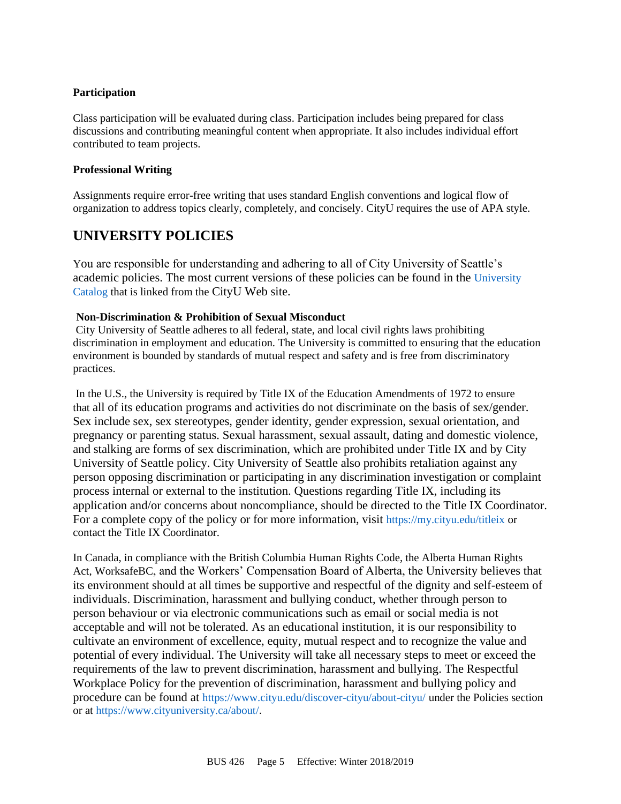### **Participation**

Class participation will be evaluated during class. Participation includes being prepared for class discussions and contributing meaningful content when appropriate. It also includes individual effort contributed to team projects.

### **Professional Writing**

Assignments require error-free writing that uses standard English conventions and logical flow of organization to address topics clearly, completely, and concisely. CityU requires the use of APA style.

# **UNIVERSITY POLICIES**

You are responsible for understanding and adhering to all of City University of Seattle's academic policies. The most current versions of these policies can be found in the [University](https://www.cityu.edu/catalog/)  [Catalog](https://www.cityu.edu/catalog/) that is linked from the CityU Web site.

### **Non-Discrimination & Prohibition of Sexual Misconduct**

City University of Seattle adheres to all federal, state, and local civil rights laws prohibiting discrimination in employment and education. The University is committed to ensuring that the education environment is bounded by standards of mutual respect and safety and is free from discriminatory practices.

In the U.S., the University is required by Title IX of the Education Amendments of 1972 to ensure that all of its education programs and activities do not discriminate on the basis of sex/gender. Sex include sex, sex stereotypes, gender identity, gender expression, sexual orientation, and pregnancy or parenting status. Sexual harassment, sexual assault, dating and domestic violence, and stalking are forms of sex discrimination, which are prohibited under Title IX and by City University of Seattle policy. City University of Seattle also prohibits retaliation against any person opposing discrimination or participating in any discrimination investigation or complaint process internal or external to the institution. Questions regarding Title IX, including its application and/or concerns about noncompliance, should be directed to the Title IX Coordinator. For a complete copy of the policy or for more information, visit <https://my.cityu.edu/titleix> or contact the Title IX Coordinator.

In Canada, in compliance with the British Columbia Human Rights Code, the Alberta Human Rights Act, WorksafeBC, and the Workers' Compensation Board of Alberta, the University believes that its environment should at all times be supportive and respectful of the dignity and self-esteem of individuals. Discrimination, harassment and bullying conduct, whether through person to person behaviour or via electronic communications such as email or social media is not acceptable and will not be tolerated. As an educational institution, it is our responsibility to cultivate an environment of excellence, equity, mutual respect and to recognize the value and potential of every individual. The University will take all necessary steps to meet or exceed the requirements of the law to prevent discrimination, harassment and bullying. The Respectful Workplace Policy for the prevention of discrimination, harassment and bullying policy and procedure can be found at <https://www.cityu.edu/discover-cityu/about-cityu/> under the Policies section or at <https://www.cityuniversity.ca/about/>.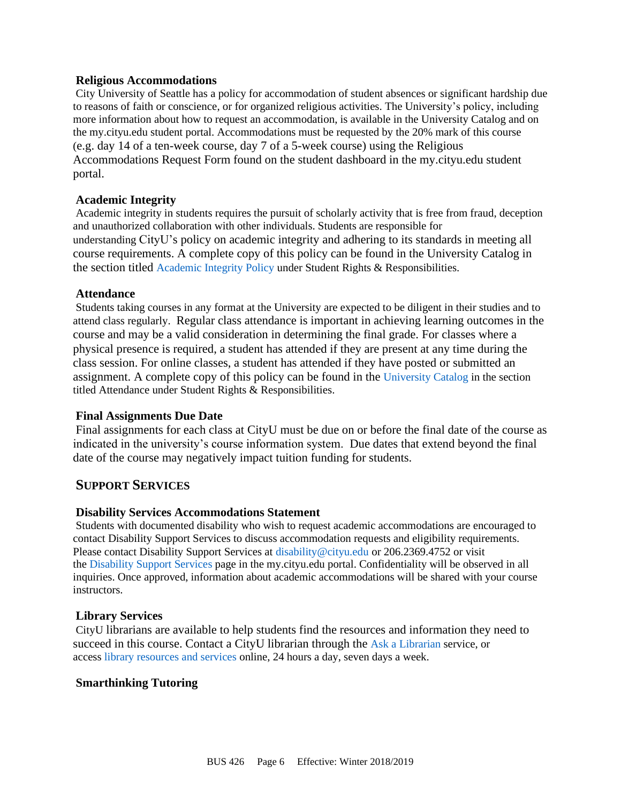### **Religious Accommodations**

City University of Seattle has a policy for accommodation of student absences or significant hardship due to reasons of faith or conscience, or for organized religious activities. The University's policy, including more information about how to request an accommodation, is available in the University Catalog and on the my.cityu.edu student portal. Accommodations must be requested by the 20% mark of this course (e.g. day 14 of a ten-week course, day 7 of a 5-week course) using the Religious Accommodations Request Form found on the student dashboard in the my.cityu.edu student portal.

## **Academic Integrity**

Academic integrity in students requires the pursuit of scholarly activity that is free from fraud, deception and unauthorized collaboration with other individuals. Students are responsible for understanding CityU's policy on academic integrity and adhering to its standards in meeting all course requirements. A complete copy of this policy can be found in the University Catalog in the section titled [Academic Integrity Policy](https://www.cityu.edu/catalog/;) under Student Rights & Responsibilities.

### **Attendance**

Students taking courses in any format at the University are expected to be diligent in their studies and to attend class regularly. Regular class attendance is important in achieving learning outcomes in the course and may be a valid consideration in determining the final grade. For classes where a physical presence is required, a student has attended if they are present at any time during the class session. For online classes, a student has attended if they have posted or submitted an assignment. A complete copy of this policy can be found in the [University Catalog](https://www.cityu.edu/catalog/;) in the section titled Attendance under Student Rights & Responsibilities.

## **Final Assignments Due Date**

Final assignments for each class at CityU must be due on or before the final date of the course as indicated in the university's course information system. Due dates that extend beyond the final date of the course may negatively impact tuition funding for students.

# **SUPPORT SERVICES**

### **Disability Services Accommodations Statement**

Students with documented disability who wish to request academic accommodations are encouraged to contact Disability Support Services to discuss accommodation requests and eligibility requirements. Please contact Disability Support Services at [disability@cityu.edu](mailto:disability@cityu.edu) or 206.2369.4752 or visit the [Disability Support Services](https://my.cityu.edu/department/disability-support-services/) page in the my.cityu.edu portal. Confidentiality will be observed in all inquiries. Once approved, information about academic accommodations will be shared with your course instructors.

### **Library Services**

CityU librarians are available to help students find the resources and information they need to succeed in this course. Contact a CityU librarian through the [Ask a Librarian](http://library.cityu.edu/ask-a-librarian/) service, or access [library resources and services](http://library.cityu.edu/) online, 24 hours a day, seven days a week.

### **Smarthinking Tutoring**